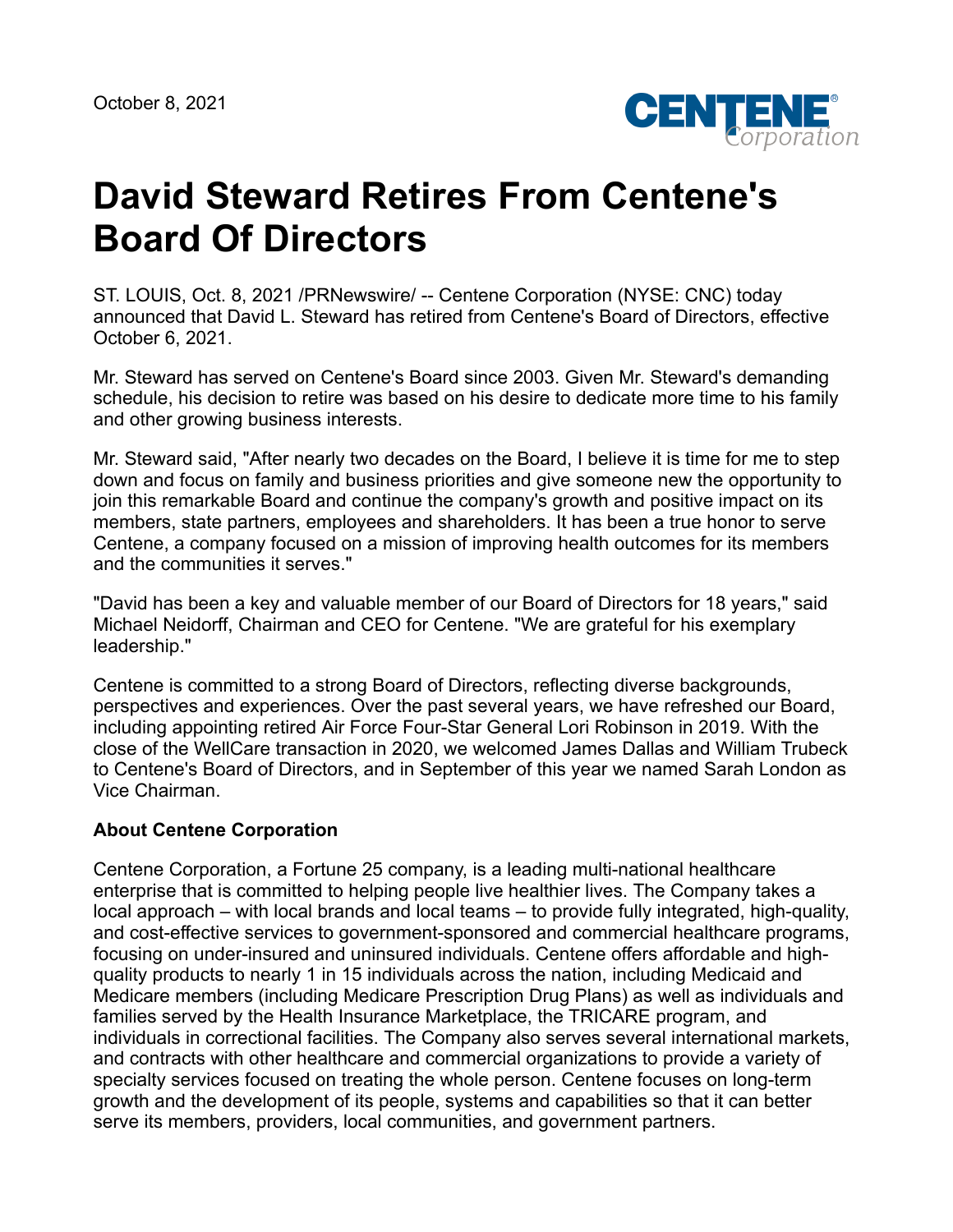

## **David Steward Retires From Centene's Board Of Directors**

ST. LOUIS, Oct. 8, 2021 /PRNewswire/ -- Centene Corporation (NYSE: CNC) today announced that David L. Steward has retired from Centene's Board of Directors, effective October 6, 2021.

Mr. Steward has served on Centene's Board since 2003. Given Mr. Steward's demanding schedule, his decision to retire was based on his desire to dedicate more time to his family and other growing business interests.

Mr. Steward said, "After nearly two decades on the Board, I believe it is time for me to step down and focus on family and business priorities and give someone new the opportunity to join this remarkable Board and continue the company's growth and positive impact on its members, state partners, employees and shareholders. It has been a true honor to serve Centene, a company focused on a mission of improving health outcomes for its members and the communities it serves."

"David has been a key and valuable member of our Board of Directors for 18 years," said Michael Neidorff, Chairman and CEO for Centene. "We are grateful for his exemplary leadership."

Centene is committed to a strong Board of Directors, reflecting diverse backgrounds, perspectives and experiences. Over the past several years, we have refreshed our Board, including appointing retired Air Force Four-Star General Lori Robinson in 2019. With the close of the WellCare transaction in 2020, we welcomed James Dallas and William Trubeck to Centene's Board of Directors, and in September of this year we named Sarah London as Vice Chairman.

## **About Centene Corporation**

Centene Corporation, a Fortune 25 company, is a leading multi-national healthcare enterprise that is committed to helping people live healthier lives. The Company takes a local approach – with local brands and local teams – to provide fully integrated, high-quality, and cost-effective services to government-sponsored and commercial healthcare programs, focusing on under-insured and uninsured individuals. Centene offers affordable and highquality products to nearly 1 in 15 individuals across the nation, including Medicaid and Medicare members (including Medicare Prescription Drug Plans) as well as individuals and families served by the Health Insurance Marketplace, the TRICARE program, and individuals in correctional facilities. The Company also serves several international markets, and contracts with other healthcare and commercial organizations to provide a variety of specialty services focused on treating the whole person. Centene focuses on long-term growth and the development of its people, systems and capabilities so that it can better serve its members, providers, local communities, and government partners.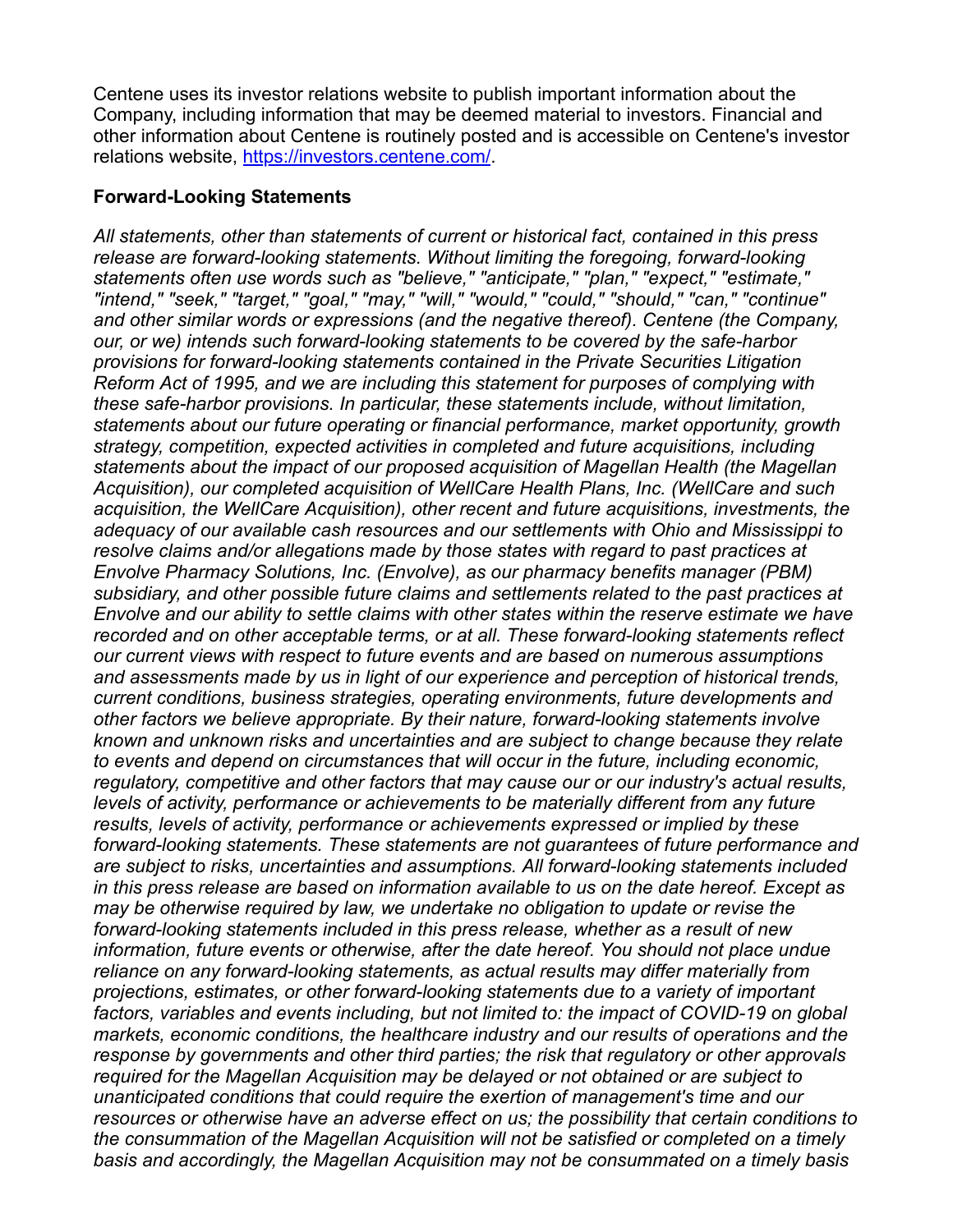Centene uses its investor relations website to publish important information about the Company, including information that may be deemed material to investors. Financial and other information about Centene is routinely posted and is accessible on Centene's investor relations website, [https://investors.centene.com/.](https://investors.centene.com/)

## **Forward-Looking Statements**

*All statements, other than statements of current or historical fact, contained in this press release are forward-looking statements. Without limiting the foregoing, forward-looking statements often use words such as "believe," "anticipate," "plan," "expect," "estimate," "intend," "seek," "target," "goal," "may," "will," "would," "could," "should," "can," "continue" and other similar words or expressions (and the negative thereof). Centene (the Company, our, or we) intends such forward-looking statements to be covered by the safe-harbor provisions for forward-looking statements contained in the Private Securities Litigation Reform Act of 1995, and we are including this statement for purposes of complying with these safe-harbor provisions. In particular, these statements include, without limitation, statements about our future operating or financial performance, market opportunity, growth strategy, competition, expected activities in completed and future acquisitions, including statements about the impact of our proposed acquisition of Magellan Health (the Magellan Acquisition), our completed acquisition of WellCare Health Plans, Inc. (WellCare and such acquisition, the WellCare Acquisition), other recent and future acquisitions, investments, the adequacy of our available cash resources and our settlements with Ohio and Mississippi to resolve claims and/or allegations made by those states with regard to past practices at Envolve Pharmacy Solutions, Inc. (Envolve), as our pharmacy benefits manager (PBM) subsidiary, and other possible future claims and settlements related to the past practices at Envolve and our ability to settle claims with other states within the reserve estimate we have recorded and on other acceptable terms, or at all. These forward-looking statements reflect our current views with respect to future events and are based on numerous assumptions and assessments made by us in light of our experience and perception of historical trends, current conditions, business strategies, operating environments, future developments and other factors we believe appropriate. By their nature, forward-looking statements involve known and unknown risks and uncertainties and are subject to change because they relate to events and depend on circumstances that will occur in the future, including economic, regulatory, competitive and other factors that may cause our or our industry's actual results, levels of activity, performance or achievements to be materially different from any future results, levels of activity, performance or achievements expressed or implied by these forward-looking statements. These statements are not guarantees of future performance and are subject to risks, uncertainties and assumptions. All forward-looking statements included in this press release are based on information available to us on the date hereof. Except as may be otherwise required by law, we undertake no obligation to update or revise the forward-looking statements included in this press release, whether as a result of new information, future events or otherwise, after the date hereof. You should not place undue reliance on any forward-looking statements, as actual results may differ materially from projections, estimates, or other forward-looking statements due to a variety of important factors, variables and events including, but not limited to: the impact of COVID-19 on global markets, economic conditions, the healthcare industry and our results of operations and the response by governments and other third parties; the risk that regulatory or other approvals required for the Magellan Acquisition may be delayed or not obtained or are subject to unanticipated conditions that could require the exertion of management's time and our resources or otherwise have an adverse effect on us; the possibility that certain conditions to the consummation of the Magellan Acquisition will not be satisfied or completed on a timely basis and accordingly, the Magellan Acquisition may not be consummated on a timely basis*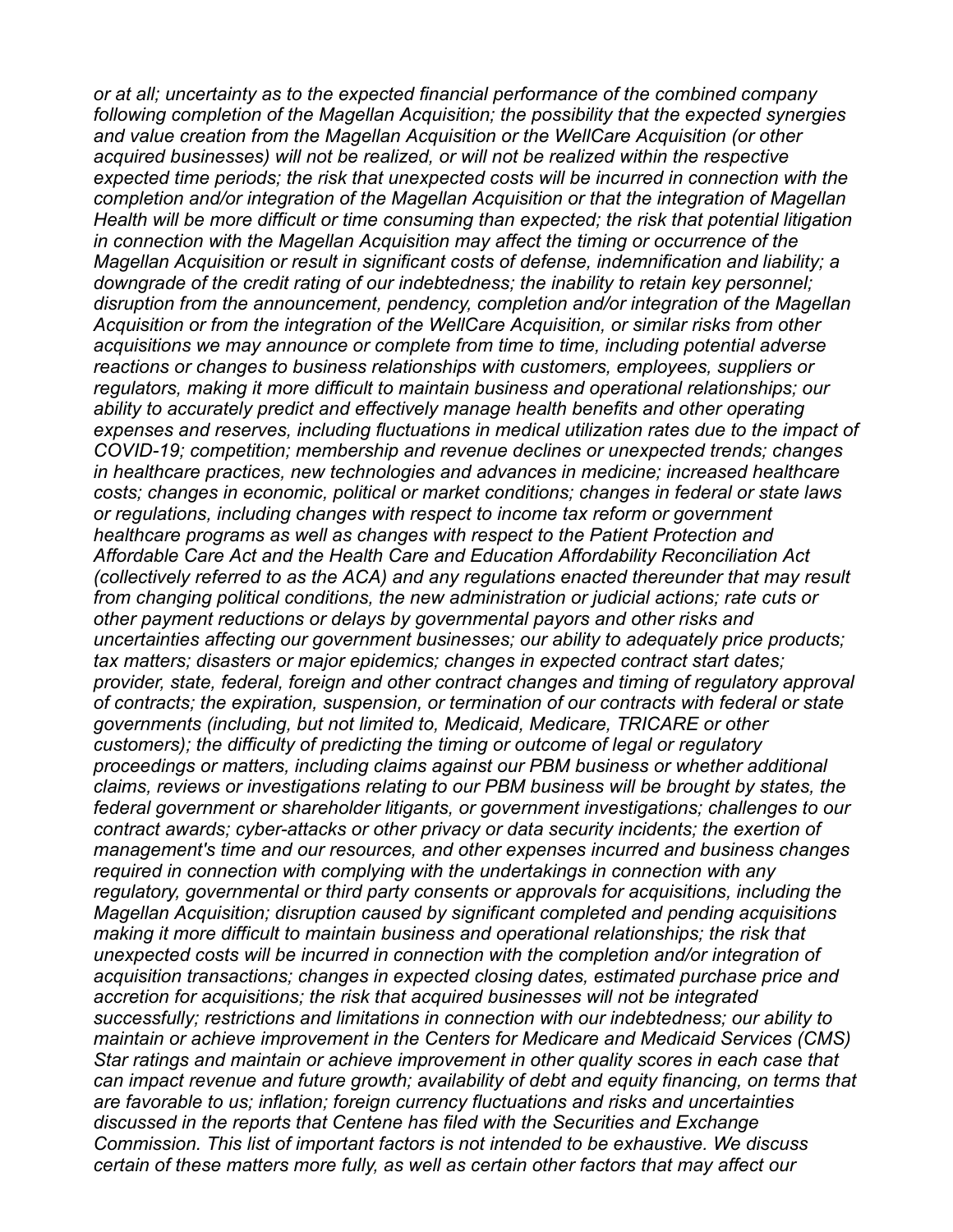*or at all; uncertainty as to the expected financial performance of the combined company following completion of the Magellan Acquisition; the possibility that the expected synergies and value creation from the Magellan Acquisition or the WellCare Acquisition (or other acquired businesses) will not be realized, or will not be realized within the respective expected time periods; the risk that unexpected costs will be incurred in connection with the completion and/or integration of the Magellan Acquisition or that the integration of Magellan Health will be more difficult or time consuming than expected; the risk that potential litigation in connection with the Magellan Acquisition may affect the timing or occurrence of the Magellan Acquisition or result in significant costs of defense, indemnification and liability; a downgrade of the credit rating of our indebtedness; the inability to retain key personnel; disruption from the announcement, pendency, completion and/or integration of the Magellan Acquisition or from the integration of the WellCare Acquisition, or similar risks from other acquisitions we may announce or complete from time to time, including potential adverse reactions or changes to business relationships with customers, employees, suppliers or regulators, making it more difficult to maintain business and operational relationships; our ability to accurately predict and effectively manage health benefits and other operating expenses and reserves, including fluctuations in medical utilization rates due to the impact of COVID-19; competition; membership and revenue declines or unexpected trends; changes in healthcare practices, new technologies and advances in medicine; increased healthcare costs; changes in economic, political or market conditions; changes in federal or state laws or regulations, including changes with respect to income tax reform or government healthcare programs as well as changes with respect to the Patient Protection and Affordable Care Act and the Health Care and Education Affordability Reconciliation Act (collectively referred to as the ACA) and any regulations enacted thereunder that may result from changing political conditions, the new administration or judicial actions; rate cuts or other payment reductions or delays by governmental payors and other risks and uncertainties affecting our government businesses; our ability to adequately price products; tax matters; disasters or major epidemics; changes in expected contract start dates; provider, state, federal, foreign and other contract changes and timing of regulatory approval of contracts; the expiration, suspension, or termination of our contracts with federal or state governments (including, but not limited to, Medicaid, Medicare, TRICARE or other customers); the difficulty of predicting the timing or outcome of legal or regulatory proceedings or matters, including claims against our PBM business or whether additional claims, reviews or investigations relating to our PBM business will be brought by states, the federal government or shareholder litigants, or government investigations; challenges to our contract awards; cyber-attacks or other privacy or data security incidents; the exertion of management's time and our resources, and other expenses incurred and business changes required in connection with complying with the undertakings in connection with any regulatory, governmental or third party consents or approvals for acquisitions, including the Magellan Acquisition; disruption caused by significant completed and pending acquisitions making it more difficult to maintain business and operational relationships; the risk that unexpected costs will be incurred in connection with the completion and/or integration of acquisition transactions; changes in expected closing dates, estimated purchase price and accretion for acquisitions; the risk that acquired businesses will not be integrated successfully; restrictions and limitations in connection with our indebtedness; our ability to maintain or achieve improvement in the Centers for Medicare and Medicaid Services (CMS) Star ratings and maintain or achieve improvement in other quality scores in each case that can impact revenue and future growth; availability of debt and equity financing, on terms that are favorable to us; inflation; foreign currency fluctuations and risks and uncertainties discussed in the reports that Centene has filed with the Securities and Exchange Commission. This list of important factors is not intended to be exhaustive. We discuss certain of these matters more fully, as well as certain other factors that may affect our*